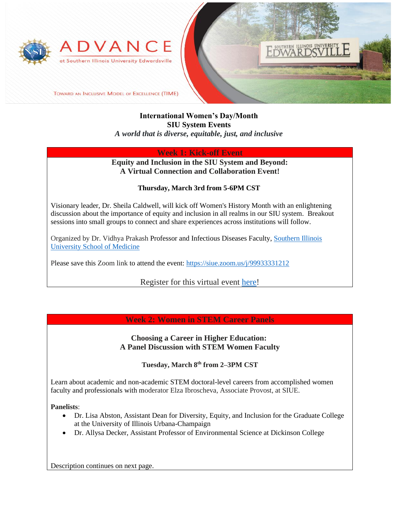



TOWARD AN INCLUSIVE MODEL OF EXCELLENCE (TIME)

## **International Women's Day/Month SIU System Events** *A world that is diverse, equitable, just, and inclusive*

## **Week 1: Kick-off Event**

## **Equity and Inclusion in the SIU System and Beyond: A Virtual Connection and Collaboration Event!**

#### **Thursday, March 3rd from 5-6PM CST**

Visionary leader, Dr. Sheila Caldwell, will kick off Women's History Month with an enlightening discussion about the importance of equity and inclusion in all realms in our SIU system. Breakout sessions into small groups to connect and share experiences across institutions will follow.

Organized by Dr. Vidhya Prakash Professor and Infectious Diseases Faculty, [Southern Illinois](https://www.siumed.edu/)  [University School of Medicine](https://www.siumed.edu/)

Please save this Zoom link to attend the event: <https://siue.zoom.us/j/99933331212>

Register for this virtual event [here!](https://siue.co1.qualtrics.com/jfe/form/SV_7O4qIduPy7QWFAG)

## **Week 2: Women in STEM Career Panels**

#### **Choosing a Career in Higher Education: A Panel Discussion with STEM Women Faculty**

**Tuesday, March 8th from 2–3PM CST**

Learn about academic and non-academic STEM doctoral-level careers from accomplished women faculty and professionals with moderator Elza Ibroscheva, Associate Provost, at SIUE.

**Panelists**:

- Dr. Lisa Abston, Assistant Dean for Diversity, Equity, and Inclusion for the Graduate College at the University of Illinois Urbana-Champaign
- Dr. Allysa Decker, Assistant Professor of Environmental Science at Dickinson College

Description continues on next page.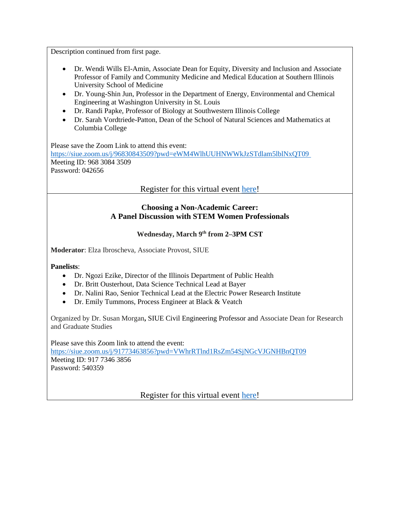Description continued from first page.

- Dr. Wendi Wills El-Amin, Associate Dean for Equity, Diversity and Inclusion and Associate Professor of Family and Community Medicine and Medical Education at Southern Illinois University School of Medicine
- Dr. Young-Shin Jun, Professor in the Department of Energy, Environmental and Chemical Engineering at Washington University in St. Louis
- Dr. Randi Papke, Professor of Biology at Southwestern Illinois College
- Dr. Sarah Vordtriede-Patton, Dean of the School of Natural Sciences and Mathematics at Columbia College

Please save the Zoom Link to attend this event: https://siue.zoom.us/j/96830843509?pwd=eWM4WlhUUHNWWkJzSTdlam5lblNxQT09 Meeting ID: 968 3084 3509 Password: 042656

Register for this virtual event [here!](https://siue.co1.qualtrics.com/jfe/form/SV_8iVXN3zR4Eo0P5k)

#### **Choosing a Non-Academic Career: A Panel Discussion with STEM Women Professionals**

#### **Wednesday, March 9th from 2–3PM CST**

**Moderator**: Elza Ibroscheva, Associate Provost, SIUE

**Panelists**:

- Dr. Ngozi Ezike, Director of the Illinois Department of Public Health
- Dr. Britt Ousterhout, Data Science Technical Lead at Bayer
- Dr. Nalini Rao, Senior Technical Lead at the Electric Power Research Institute
- Dr. Emily Tummons, Process Engineer at Black & Veatch

Organized by Dr. Susan Morgan**,** SIUE Civil Engineering Professor and Associate Dean for Research and Graduate Studies

Please save this Zoom link to attend the event: <https://siue.zoom.us/j/91773463856?pwd=VWhrRTlnd1RsZm54SjNGcVJGNHBnQT09> Meeting ID: 917 7346 3856 Password: 540359

Register for this virtual event [here!](https://siue.co1.qualtrics.com/jfe/form/SV_8237aKJ7LrOY9QW)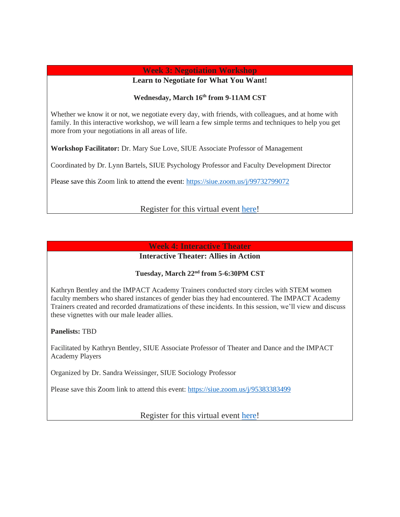## **Week 3: Negotiation Workshop**

**Learn to Negotiate for What You Want!**

#### **Wednesday, March 16th from 9-11AM CST**

Whether we know it or not, we negotiate every day, with friends, with colleagues, and at home with family. In this interactive workshop, we will learn a few simple terms and techniques to help you get more from your negotiations in all areas of life.

**Workshop Facilitator:** Dr. Mary Sue Love, SIUE Associate Professor of Management

Coordinated by Dr. Lynn Bartels, SIUE Psychology Professor and Faculty Development Director

Please save this Zoom link to attend the event:<https://siue.zoom.us/j/99732799072>

## Register for this virtual event [here!](https://siue.co1.qualtrics.com/jfe/form/SV_0pmszfq5cEdYaDc)

#### **Week 4: Interactive Theater**

## **Interactive Theater: Allies in Action**

# **Tuesday, March 22nd from 5-6:30PM CST**

Kathryn Bentley and the IMPACT Academy Trainers conducted story circles with STEM women faculty members who shared instances of gender bias they had encountered. The IMPACT Academy Trainers created and recorded dramatizations of these incidents. In this session, we'll view and discuss these vignettes with our male leader allies.

**Panelists:** TBD

Facilitated by Kathryn Bentley, SIUE Associate Professor of Theater and Dance and the IMPACT Academy Players

Organized by Dr. Sandra Weissinger, SIUE Sociology Professor

Please save this Zoom link to attend this event:<https://siue.zoom.us/j/95383383499>

Register for this virtual event [here!](https://siue.co1.qualtrics.com/jfe/form/SV_3BQkuulmcGPnNcO)